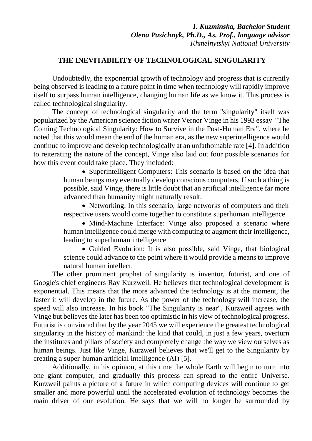## **THE INEVITABILITY OF TECHNOLOGICAL SINGULARITY**

Undoubtedly, the exponential growth of technology and progress that is currently being observed is leading to a future point in time when technology will rapidly improve itself to surpass human intelligence, changing human life as we know it. This process is called technological singularity.

The concept of technological singularity and the term "singularity" itself was popularized by the American science fiction writer Vernor Vinge in his 1993 essay "The Coming Technological Singularity: How to Survive in the Post-Human Era", where he noted that this would mean the end of the human era, as the new superintelligence would continue to improve and develop technologically at an unfathomable rate [4]. In addition to reiterating the nature of the concept, Vinge also laid out four possible scenarios for how this event could take place. They included:

> • Superintelligent Computers: This scenario is based on the idea that human beings may eventually develop conscious computers. If such a thing is possible, said Vinge, there is little doubt that an artificial intelligence far more advanced than humanity might naturally result.

> • Networking: In this scenario, large networks of computers and their respective users would come together to constitute superhuman intelligence.

> • Mind-Machine Interface: Vinge also proposed a scenario where human intelligence could merge with computing to augment their intelligence, leading to superhuman intelligence.

> • Guided Evolution: It is also possible, said Vinge, that biological science could advance to the point where it would provide a means to improve natural human intellect.

The other prominent prophet of singularity is inventor, futurist, and one of Google's chief engineers Ray Kurzweil. He believes that technological development is exponential. This means that the more advanced the technology is at the moment, the faster it will develop in the future. As the power of the technology will increase, the speed will also increase. In his book "The Singularity is near", Kurzweil agrees with Vinge but believes the later has been too optimistic in his view of technological progress. Futurist is convinced that by the year 2045 we will experience the greatest technological singularity in the history of mankind: the kind that could, in just a few years, overturn the institutes and pillars of society and completely change the way we view ourselves as human beings. Just like Vinge, Kurzweil believes that we'll get to the Singularity by creating a super-human artificial intelligence (AI) [5].

Additionally, in his opinion, at this time the whole Earth will begin to turn into one giant computer, and gradually this process can spread to the entire Universe. Kurzweil paints a picture of a future in which computing devices will continue to get smaller and more powerful until the accelerated evolution of technology becomes the main driver of our evolution. He says that we will no longer be surrounded by